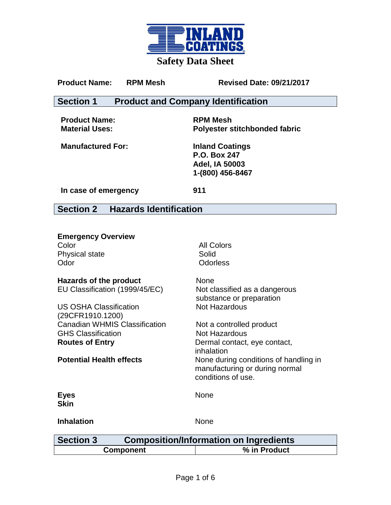

### Product Name: RPM Mesh Revised Date: 09/21/2017

## **Section 1 Product and Company Identification**

**Product Name: RPM Mesh**

**Material Uses: Polyester stitchbonded fabric**

**Manufactured For: Inland Coatings**

**P.O. Box 247 Adel, IA 50003 1-(800) 456-8467**

**In case of emergency 911**

**Section 2 Hazards Identification**

| <b>Emergency Overview</b>                                         |                                                                                               |
|-------------------------------------------------------------------|-----------------------------------------------------------------------------------------------|
| Color                                                             | <b>All Colors</b>                                                                             |
| Physical state                                                    | Solid                                                                                         |
| Odor                                                              | <b>Odorless</b>                                                                               |
| Hazards of the product                                            | <b>None</b>                                                                                   |
| EU Classification (1999/45/EC)                                    | Not classified as a dangerous<br>substance or preparation                                     |
| <b>US OSHA Classification</b>                                     | <b>Not Hazardous</b>                                                                          |
| (29CFR1910.1200)                                                  |                                                                                               |
| <b>Canadian WHMIS Classification</b>                              | Not a controlled product                                                                      |
| <b>GHS Classification</b>                                         | Not Hazardous                                                                                 |
| <b>Routes of Entry</b>                                            | Dermal contact, eye contact,<br>inhalation                                                    |
| <b>Potential Health effects</b>                                   | None during conditions of handling in<br>manufacturing or during normal<br>conditions of use. |
| <b>Eyes</b><br><b>Skin</b>                                        | <b>None</b>                                                                                   |
| <b>Inhalation</b>                                                 | None                                                                                          |
| <b>Section 3</b><br><b>Composition/Information on Ingredients</b> |                                                                                               |
| Component                                                         | % in Product                                                                                  |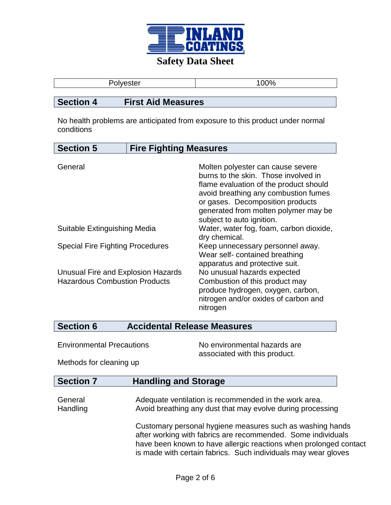

| $D - b - c$<br>.ster | 00% |
|----------------------|-----|
|                      |     |

## **Section 4 First Aid Measures**

No health problems are anticipated from exposure to this product under normal conditions

| <b>Section 5</b>                        | <b>Fire Fighting Measures</b> |                                                               |
|-----------------------------------------|-------------------------------|---------------------------------------------------------------|
|                                         |                               |                                                               |
| General                                 |                               | Molten polyester can cause severe                             |
|                                         |                               | burns to the skin. Those involved in                          |
|                                         |                               | flame evaluation of the product should                        |
|                                         |                               | avoid breathing any combustion fumes                          |
|                                         |                               | or gases. Decomposition products                              |
|                                         |                               | generated from molten polymer may be                          |
|                                         |                               | subject to auto ignition.                                     |
| Suitable Extinguishing Media            |                               | Water, water fog, foam, carbon dioxide,                       |
|                                         |                               | dry chemical.                                                 |
| <b>Special Fire Fighting Procedures</b> |                               | Keep unnecessary personnel away.                              |
|                                         |                               | Wear self-contained breathing                                 |
| Unusual Fire and Explosion Hazards      |                               | apparatus and protective suit.<br>No unusual hazards expected |
| <b>Hazardous Combustion Products</b>    |                               | Combustion of this product may                                |
|                                         |                               | produce hydrogen, oxygen, carbon,                             |
|                                         |                               | nitrogen and/or oxides of carbon and                          |
|                                         |                               | nitrogen                                                      |
|                                         |                               |                                                               |

# **Section 6 Accidental Release Measures**

Environmental Precautions No environmental hazards are associated with this product.

Methods for cleaning up

# **Section 7 Handling and Storage**

General **Adequate ventilation is recommended in the work area.** Handling **Avoid breathing any dust that may evolve during processing** 

> Customary personal hygiene measures such as washing hands after working with fabrics are recommended. Some individuals have been known to have allergic reactions when prolonged contact is made with certain fabrics. Such individuals may wear gloves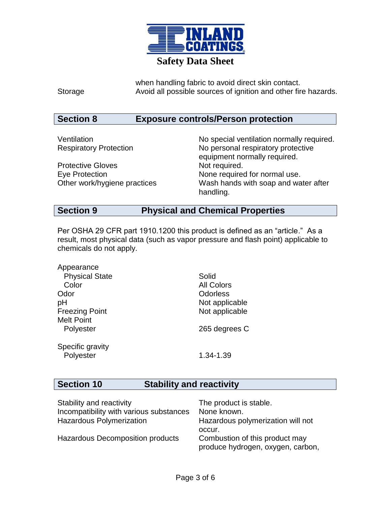

when handling fabric to avoid direct skin contact. Storage **Avoid all possible sources of ignition and other fire hazards.** 

# **Section 8 Exposure controls/Person protection**

| Ventilation                   | No special ventilation normally required. |
|-------------------------------|-------------------------------------------|
| <b>Respiratory Protection</b> | No personal respiratory protective        |
|                               | equipment normally required.              |
| <b>Protective Gloves</b>      | Not required.                             |
| Eye Protection                | None required for normal use.             |
| Other work/hygiene practices  | Wash hands with soap and water after      |
|                               | handling.                                 |

# **Section 9 Physical and Chemical Properties**

Per OSHA 29 CFR part 1910.1200 this product is defined as an "article." As a result, most physical data (such as vapor pressure and flash point) applicable to chemicals do not apply.

| Appearance            |                   |
|-----------------------|-------------------|
| <b>Physical State</b> | Solid             |
| Color                 | <b>All Colors</b> |
| Odor                  | Odorless          |
| рH                    | Not applicable    |
| <b>Freezing Point</b> | Not applicable    |
| <b>Melt Point</b>     |                   |
| Polyester             | 265 degrees C     |
| Specific gravity      |                   |
| Polyester             | 1.34-1.39         |

# **Section 10 Stability and reactivity**

| Stability and reactivity                | The product is stable.            |
|-----------------------------------------|-----------------------------------|
| Incompatibility with various substances | None known.                       |
| <b>Hazardous Polymerization</b>         | Hazardous polymerization will not |
|                                         | occur.                            |
| Hazardous Decomposition products        | Combustion of this product may    |
|                                         | produce hydrogen, oxygen, carbon, |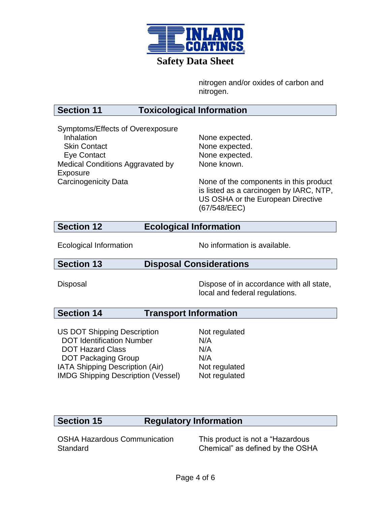

nitrogen and/or oxides of carbon and nitrogen.

# **Section 11 Toxicological Information**

Symptoms/Effects of Overexposure Inhalation **None expected**. Skin Contact None expected. Eye Contact None expected. Medical Conditions Aggravated by Exposure

None known.

Carcinogenicity Data None of the components in this product is listed as a carcinogen by IARC, NTP, US OSHA or the European Directive (67/548/EEC)

## **Section 12 Ecological Information**

Ecological Information No information is available.

## **Section 13 Disposal Considerations**

Disposal Dispose of in accordance with all state, local and federal regulations.

# **Section 14 Transport Information**

US DOT Shipping Description DOT Identification Number DOT Hazard Class DOT Packaging Group Not regulated N/A N/A N/A IATA Shipping Description (Air) Not regulated IMDG Shipping Description (Vessel) Not regulated

# **Section 15 Regulatory Information**

OSHA Hazardous Communication **Standard** 

This product is not a "Hazardous Chemical" as defined by the OSHA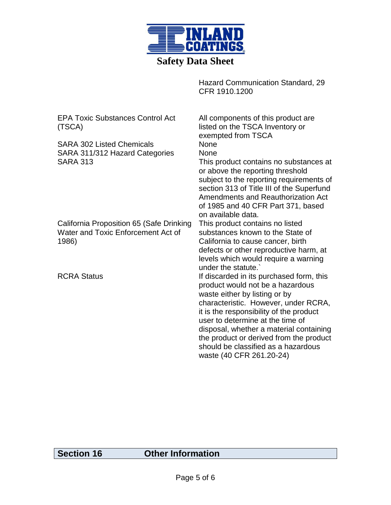

Hazard Communication Standard, 29 CFR 1910.1200

EPA Toxic Substances Control Act (TSCA) All components of this product are listed on the TSCA Inventory or exempted from TSCA SARA 302 Listed Chemicals None SARA 311/312 Hazard Categories None SARA 313 This product contains no substances at or above the reporting threshold subject to the reporting requirements of section 313 of Title III of the Superfund Amendments and Reauthorization Act of 1985 and 40 CFR Part 371, based on available data. California Proposition 65 (Safe Drinking Water and Toxic Enforcement Act of 1986) This product contains no listed substances known to the State of California to cause cancer, birth defects or other reproductive harm, at levels which would require a warning under the statute.` RCRA Status **If discarded in its purchased form, this** product would not be a hazardous waste either by listing or by characteristic. However, under RCRA, it is the responsibility of the product user to determine at the time of disposal, whether a material containing the product or derived from the product should be classified as a hazardous waste (40 CFR 261.20-24)

## **Section 16 Other Information**